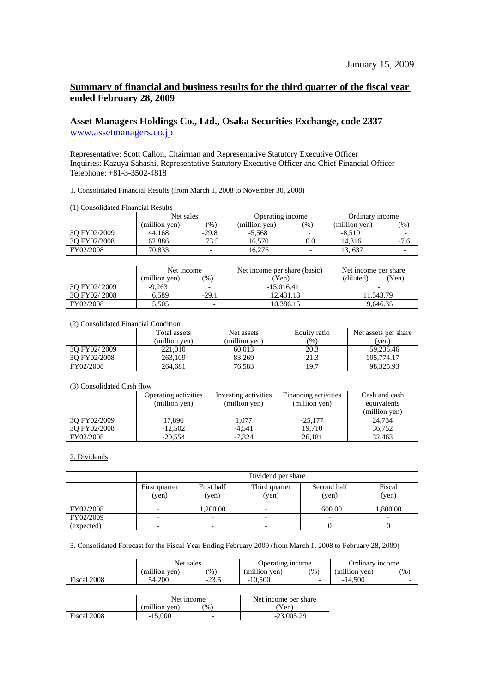# **Summary of financial and business results for the third quarter of the fiscal year ended February 28, 2009**

## **Asset Managers Holdings Co., Ltd., Osaka Securities Exchange, code 2337**  [www.assetmanagers.co.jp](http://www.assetmanagers.co.jp/)

Representative: Scott Callon, Chairman and Representative Statutory Executive Officer Inquiries: Kazuya Sahashi, Representative Statutory Executive Officer and Chief Financial Officer Telephone: +81-3-3502-4818

1. Consolidated Financial Results (from March 1, 2008 to November 30, 2008)

| (1) Consolidated Financial Results |               |               |                  |                          |                 |        |
|------------------------------------|---------------|---------------|------------------|--------------------------|-----------------|--------|
|                                    | Net sales     |               | Operating income |                          | Ordinary income |        |
|                                    | (million ven) | $\frac{9}{6}$ | (million ven)    | $(\%)$                   | (million yen)   | $(\%)$ |
| 30 FY02/2009                       | 44.168        | $-29.8$       | $-5.568$         | $\overline{\phantom{0}}$ | $-8,510$        |        |
| 3O FY02/2008                       | 62.886        | 73.5          | 16.570           | 0.0                      | 14.316          | $-7.6$ |
| FY02/2008                          | 70.833        |               | 16.276           |                          | 13. 637         |        |

|              | Net income    |               | Net income per share (basic) | Net income per share |  |
|--------------|---------------|---------------|------------------------------|----------------------|--|
|              | (million ven) | $\frac{1}{2}$ | (Yen)                        | (diluted)<br>Yen)    |  |
| 30 FY02/2009 | $-9.263$      |               | $-15.016.41$                 |                      |  |
| 30 FY02/2008 | 6.589         | $-29.1$       | 12.431.13                    | 11.543.79            |  |
| FY02/2008    | 5,505         |               | 10.386.15                    | 9.646.35             |  |

(2) Consolidated Financial Condition

|              | Total assets  | Net assets    | Equity ratio | Net assets per share |
|--------------|---------------|---------------|--------------|----------------------|
|              | (million ven) | (million ven) | (96)         | (ven)                |
| 30 FY02/2009 | 221,010       | 60.013        | 20.3         | 59,235.46            |
| 30 FY02/2008 | 263.109       | 83.269        | 21.3         | 105,774.17           |
| FY02/2008    | 264,681       | 76.583        | 19.7         | 98.325.93            |

#### (3) Consolidated Cash flow

|              | Operating activities | Investing activities | Financing activities | Cash and cash |
|--------------|----------------------|----------------------|----------------------|---------------|
|              | (million yen)        | (million yen)        | (million yen)        | equivalents   |
|              |                      |                      |                      | (million yen) |
| 30 FY02/2009 | 17,896               | 1.077                | $-25.177$            | 24,734        |
| 30 FY02/2008 | $-12.502$            | $-4.541$             | 19.710               | 36.752        |
| FY02/2008    | $-20.554$            | $-7.324$             | 26.181               | 32.463        |

## 2. Dividends

|            | Dividend per share       |                          |                          |                          |                 |  |
|------------|--------------------------|--------------------------|--------------------------|--------------------------|-----------------|--|
|            | First quarter<br>(yen)   | First half<br>(yen)      | Third quarter<br>(yen)   | Second half<br>(yen)     | Fiscal<br>(yen) |  |
| FY02/2008  |                          | 1,200.00                 |                          | 600.00                   | 1,800.00        |  |
| FY02/2009  |                          | -                        | $\overline{\phantom{0}}$ | $\overline{\phantom{0}}$ |                 |  |
| (expected) | $\overline{\phantom{0}}$ | $\overline{\phantom{0}}$ | $\overline{\phantom{0}}$ |                          |                 |  |

## 3. Consolidated Forecast for the Fiscal Year Ending February 2009 (from March 1, 2008 to February 28, 2009)

|             | Net sales     |               | Operating income |               | Ordinary income |      |
|-------------|---------------|---------------|------------------|---------------|-----------------|------|
|             | (million ven) | $\frac{9}{0}$ | (million ven)    | $\frac{1}{2}$ | (million ven)   | (% ) |
| Fiscal 2008 | 54.200        | $-25.5$       | $-10,500$        |               | $-14.500$       |      |

|             |               | Net income | Net income per share |
|-------------|---------------|------------|----------------------|
|             | (million ven) | $\%$ ,     | Yen)                 |
| Fiscal 2008 | $-15,000$     | -          | $-23.005.29$         |